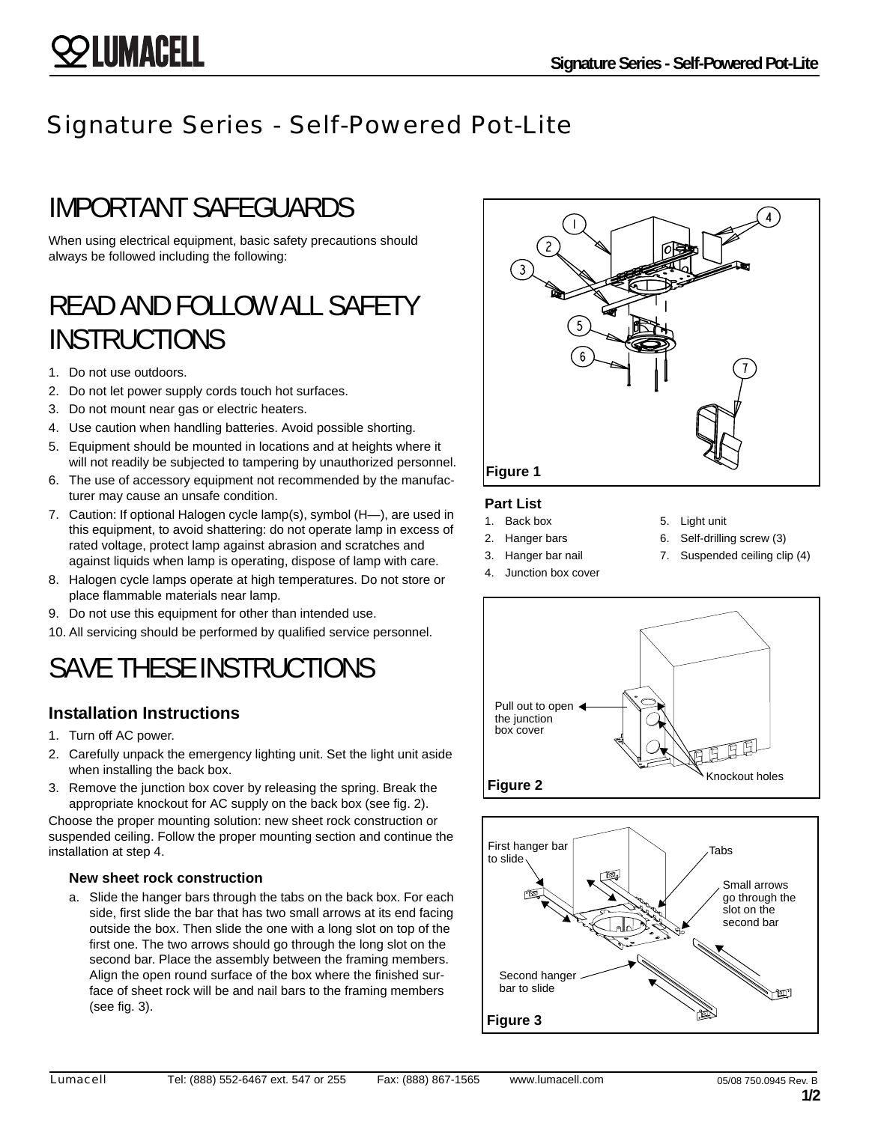### Signature Series - Self-Powered Pot-Lite

### IMPORTANT SAFEGUARDS

When using electrical equipment, basic safety precautions should always be followed including the following:

### READ AND FOLLOW ALL SAFETY **INSTRUCTIONS**

- 1. Do not use outdoors.
- 2. Do not let power supply cords touch hot surfaces.
- 3. Do not mount near gas or electric heaters.
- 4. Use caution when handling batteries. Avoid possible shorting.
- 5. Equipment should be mounted in locations and at heights where it will not readily be subjected to tampering by unauthorized personnel.
- 6. The use of accessory equipment not recommended by the manufacturer may cause an unsafe condition.
- 7. Caution: If optional Halogen cycle lamp(s), symbol (H—), are used in this equipment, to avoid shattering: do not operate lamp in excess of rated voltage, protect lamp against abrasion and scratches and against liquids when lamp is operating, dispose of lamp with care.
- 8. Halogen cycle lamps operate at high temperatures. Do not store or place flammable materials near lamp.
- 9. Do not use this equipment for other than intended use.
- 10. All servicing should be performed by qualified service personnel.

### SAVE THESE INSTRUCTIONS

### **Installation Instructions**

- 1. Turn off AC power.
- 2. Carefully unpack the emergency lighting unit. Set the light unit aside when installing the back box.
- 3. Remove the junction box cover by releasing the spring. Break the appropriate knockout for AC supply on the back box (see fig. 2).

Choose the proper mounting solution: new sheet rock construction or suspended ceiling. Follow the proper mounting section and continue the installation at step 4.

#### **New sheet rock construction**

a. Slide the hanger bars through the tabs on the back box. For each side, first slide the bar that has two small arrows at its end facing outside the box. Then slide the one with a long slot on top of the first one. The two arrows should go through the long slot on the second bar. Place the assembly between the framing members. Align the open round surface of the box where the finished surface of sheet rock will be and nail bars to the framing members (see fig. 3).



#### **Part List**

- 1. Back box
- 2. Hanger bars
- 5. Light unit
- 3. Hanger bar nail
- 6. Self-drilling screw (3)
- 
- 4. Junction box cover
- 7. Suspended ceiling clip (4)



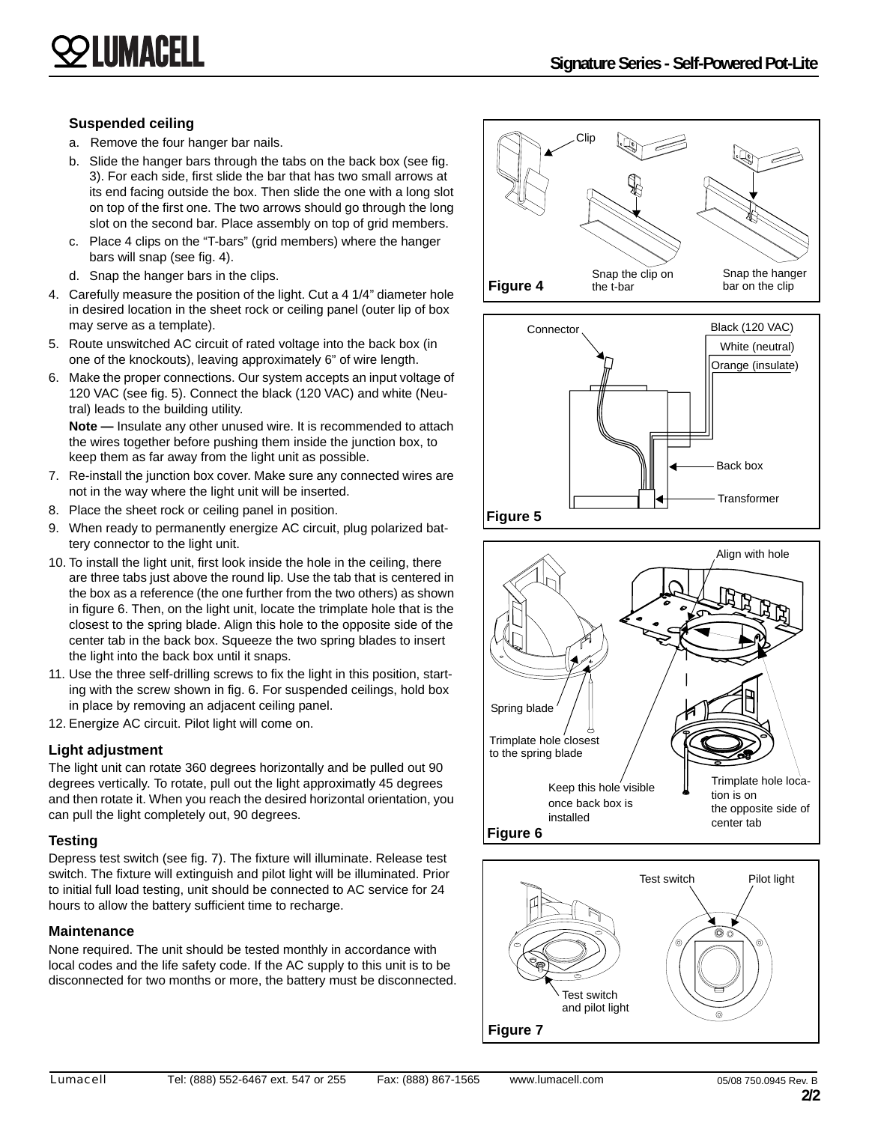#### **Suspended ceiling**

- a. Remove the four hanger bar nails.
- b. Slide the hanger bars through the tabs on the back box (see fig. 3). For each side, first slide the bar that has two small arrows at its end facing outside the box. Then slide the one with a long slot on top of the first one. The two arrows should go through the long slot on the second bar. Place assembly on top of grid members.
- c. Place 4 clips on the "T-bars" (grid members) where the hanger bars will snap (see fig. 4).
- d. Snap the hanger bars in the clips.
- 4. Carefully measure the position of the light. Cut a 4 1/4" diameter hole in desired location in the sheet rock or ceiling panel (outer lip of box may serve as a template).
- 5. Route unswitched AC circuit of rated voltage into the back box (in one of the knockouts), leaving approximately 6" of wire length.
- 6. Make the proper connections. Our system accepts an input voltage of 120 VAC (see fig. 5). Connect the black (120 VAC) and white (Neutral) leads to the building utility.

**Note —** Insulate any other unused wire. It is recommended to attach the wires together before pushing them inside the junction box, to keep them as far away from the light unit as possible.

- 7. Re-install the junction box cover. Make sure any connected wires are not in the way where the light unit will be inserted.
- 8. Place the sheet rock or ceiling panel in position.
- 9. When ready to permanently energize AC circuit, plug polarized battery connector to the light unit.
- 10. To install the light unit, first look inside the hole in the ceiling, there are three tabs just above the round lip. Use the tab that is centered in the box as a reference (the one further from the two others) as shown in figure 6. Then, on the light unit, locate the trimplate hole that is the closest to the spring blade. Align this hole to the opposite side of the center tab in the back box. Squeeze the two spring blades to insert the light into the back box until it snaps.
- 11. Use the three self-drilling screws to fix the light in this position, starting with the screw shown in fig. 6. For suspended ceilings, hold box in place by removing an adjacent ceiling panel.
- 12. Energize AC circuit. Pilot light will come on.

#### **Light adjustment**

The light unit can rotate 360 degrees horizontally and be pulled out 90 degrees vertically. To rotate, pull out the light approximatly 45 degrees and then rotate it. When you reach the desired horizontal orientation, you can pull the light completely out, 90 degrees.

#### **Testing**

Depress test switch (see fig. 7). The fixture will illuminate. Release test switch. The fixture will extinguish and pilot light will be illuminated. Prior to initial full load testing, unit should be connected to AC service for 24 hours to allow the battery sufficient time to recharge.

#### **Maintenance**

None required. The unit should be tested monthly in accordance with local codes and the life safety code. If the AC supply to this unit is to be disconnected for two months or more, the battery must be disconnected.







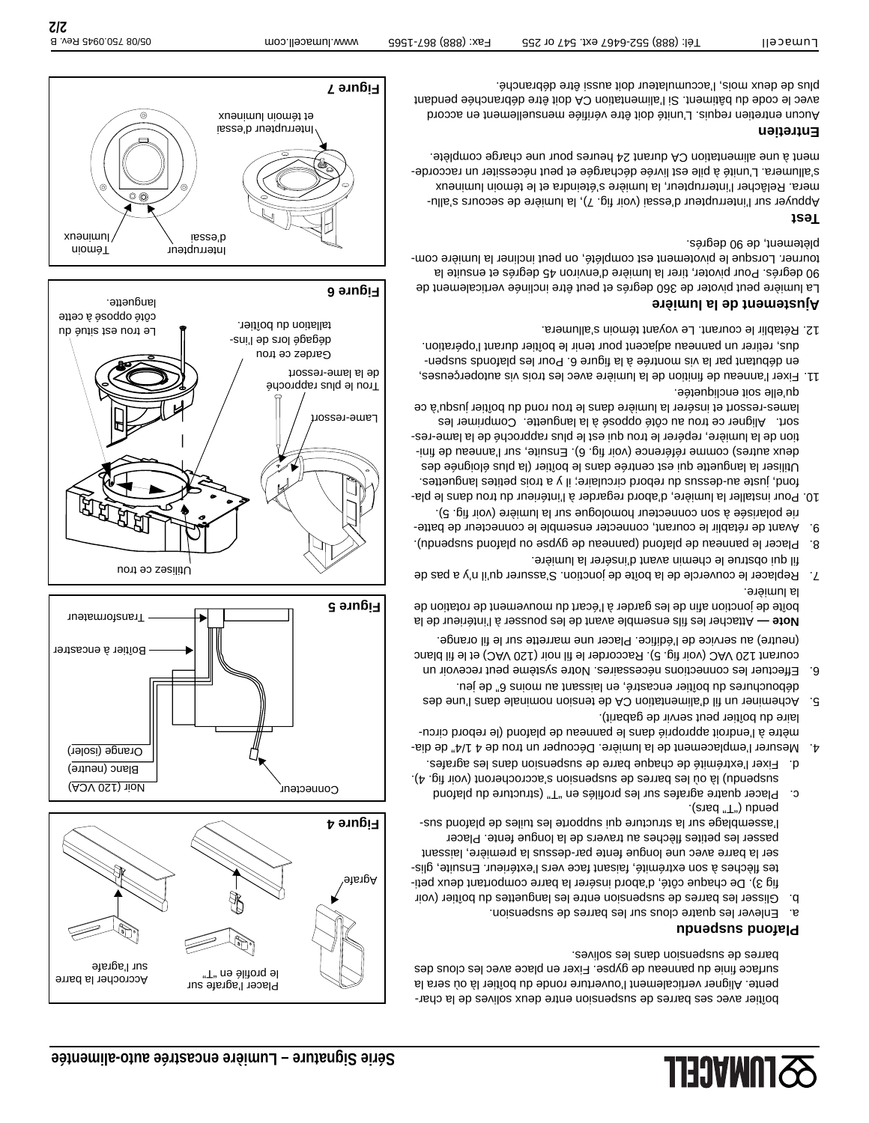boîtier avec ses barres de suspension entre deux solives de la charpente. Aligner verticalement l'ouverture ronde du boîtier là où sera la surface finie du panneau de gypse. Fixer en place avec les clous des barres de suspension dans les solives.

#### **Proposed supports**

- a. Enlever les quatre clous sur les barres de suspension.
- b. Glisser les barres de suspension entre les languettes du boîtier (voir fig 3). De chaque côté, d'abord insérer la barre comportant deux petites flèches à son extrémité, faisant face vers l'extérieur. Ensuite, glisser la barre avec une longue fente par-dessus la première, laissant passer les petites flèches au travers de la longue fente. Placer l'assemblage sur la structure qui supporte les tuiles de plafond sus- $(g, g)$  peudu ( $\mathbb{L}$ " bars).
- c. Placer quatre agrafes sur les profilés en "T" (structure du plafond suspendu) là où les barres de suspension s'accrocheront (voir fig. 4). d. Fixer l'extrémité de chaque barre de suspension dans les agrafes.
- 4. Mesurer l'emplacement de la lumière. Découper un trou de 4 1/4" de diamètre à l'endroit approprié dans le panneau de plafond (le rebord circulaire du boîtier peut servir de gabarit).
- 5. Acheminer un fil d'alimentation CA de tension nominale dans l'une des débouchures du boîtier encastré, en laissant au moins 6" de jeu.
- 6. Effectuer les connections nécessaires. Notre système peut recevoir un courant 120 VAC (voir fig. 5). Raccorder le fil noir (120 VAC) et le fil blanc (neutre) au service de l'édifice. Placer une marrette sur le fil orange.

Attacher les fils ensemble avant de les pousser à l'intérieur de la **Note**  boîte de jonction afin de les garder à l'écart du mouvement de rotation de la lumière.

- 7. Replacer le couvercle de la boîte de jonction. S'assurer qu'il n'y a pas de fil qui obstrue le chemin avant d'insérer la lumière.
- 8. Placer le panneau de plafond (panneau de gypse ou plafond suspendu).
- 9. Avant de rétablir le courant, connecter ensemble le connecteur de batterie polarisée à son connecteur homologue sur la lumière (voir fig. 5).
- 10. Pour installer la lumière, d'abord regarder à l'inérieur du trou dans le plafond, juste au-dessus du rebord circulaire; il y a trois petites languettes. Utiliser la languette qui est centrée dans le boîtier (la plus éloignée des deux autres) comme référence (voir fig. 6). Ensuite, sur l'anneau de finition de la lumière, repérer le trou qui est le plus rapproché de la lame-ressort. Aligner ce trou au côté opposé à la languette. Comprimer les lames-ressort et insérer la lumière dans le trou rond du boîtier jusqu'à ce qu'elle soit encliquetée.
- 11. Fixer l'anneau de finition de la lumière avec les trois vis autoperçeuses, en débutant par la vis montrée à la figure 6. Pour les plafonds suspendus, retirer un panneau adjacent pour tenir le boîtier durant l'opération.
- 12. Rétablir le courant. Le voyant témoin s'allumera.

#### **Ajustement de la lumière**

La lumière peut pivoter de 360 degrés et peut être inclinée verticalement de 90 degrés. Pour pivoter, tirer la lumière d'environ 45 degrés et ensuite la tourner. Lorsque le pivotement est complété, on peut incliner la lumière complètement, de 90 degrés.

#### **Test**

Appuyer sur l'interrupteur d'essai (voir fig. 7), la lumière de secours s'allumera. Relâcher l'interrupteur, la lumière s'éteindra et le témoin lumineux s'allumera. L'unité à pile est livrée déchargée et peut nécessiter un raccordement à une alimentation CA durant 24 heures pour une charge complète.

#### **Entretien**

Aucun entretien requis. L'unité doit être vérifiée mensuellement en accord avec le code du bâtiment. Si l'alimentiation CA doit être débranchée pendant plus de deux mois, l'accumulateur doit aussi être débranché.







Transformateur

Boîtier à encastrer